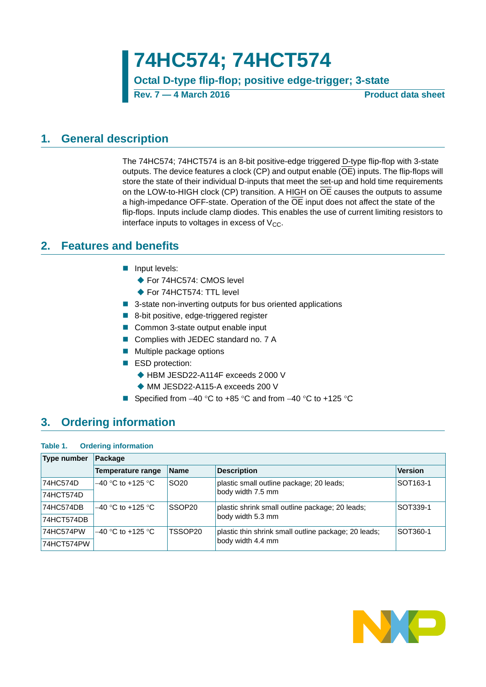**74HC574; 74HCT574**

**Octal D-type flip-flop; positive edge-trigger; 3-state**

**Rev. 7 — 4 March 2016 Product data sheet**

### <span id="page-0-0"></span>**1. General description**

The 74HC574; 74HCT574 is an 8-bit positive-edge triggered D-type flip-flop with 3-state outputs. The device features a clock (CP) and output enable (OE) inputs. The flip-flops will store the state of their individual D-inputs that meet the set-up and hold time requirements on the LOW-to-HIGH clock (CP) transition. A HIGH on  $\overline{OE}$  causes the outputs to assume a high-impedance OFF-state. Operation of the  $\overline{OE}$  input does not affect the state of the flip-flops. Inputs include clamp diodes. This enables the use of current limiting resistors to interface inputs to voltages in excess of  $V_{CC}$ .

# <span id="page-0-1"></span>**2. Features and benefits**

- **Input levels:** 
	- ◆ For 74HC574: CMOS level
	- ◆ For 74HCT574: TTL level
- 3-state non-inverting outputs for bus oriented applications
- 8-bit positive, edge-triggered register
- Common 3-state output enable input
- Complies with JEDEC standard no. 7 A
- **Multiple package options**
- ESD protection:
	- ◆ HBM JESD22-A114F exceeds 2 000 V
	- ◆ MM JESD22-A115-A exceeds 200 V
- Specified from  $-40$  °C to  $+85$  °C and from  $-40$  °C to  $+125$  °C

# <span id="page-0-2"></span>**3. Ordering information**

#### **Table 1. Ordering information**

| <b>Type number</b> | Package              |                    |                                                      |                      |
|--------------------|----------------------|--------------------|------------------------------------------------------|----------------------|
|                    | Temperature range    | <b>Name</b>        | <b>Description</b>                                   | <b>Version</b>       |
| 74HC574D           | $-40$ °C to +125 °C. | SO <sub>20</sub>   | plastic small outline package; 20 leads;             | SOT <sub>163-1</sub> |
| 74HCT574D          |                      |                    | body width 7.5 mm                                    |                      |
| 74HC574DB          | $-40$ °C to +125 °C  | SSOP <sub>20</sub> | plastic shrink small outline package; 20 leads;      | SOT339-1             |
| 74HCT574DB         |                      |                    | body width 5.3 mm                                    |                      |
| 74HC574PW          | $-40$ °C to +125 °C  | TSSOP20            | plastic thin shrink small outline package; 20 leads; | SOT360-1             |
| 74HCT574PW         |                      |                    | body width 4.4 mm                                    |                      |

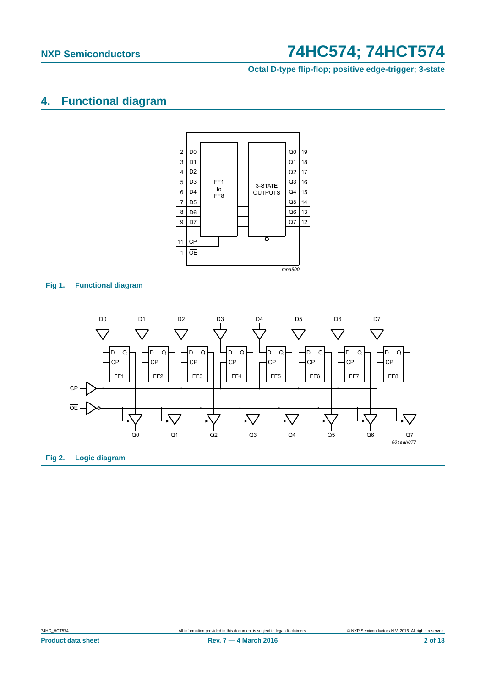**Octal D-type flip-flop; positive edge-trigger; 3-state**

# <span id="page-1-0"></span>**4. Functional diagram**

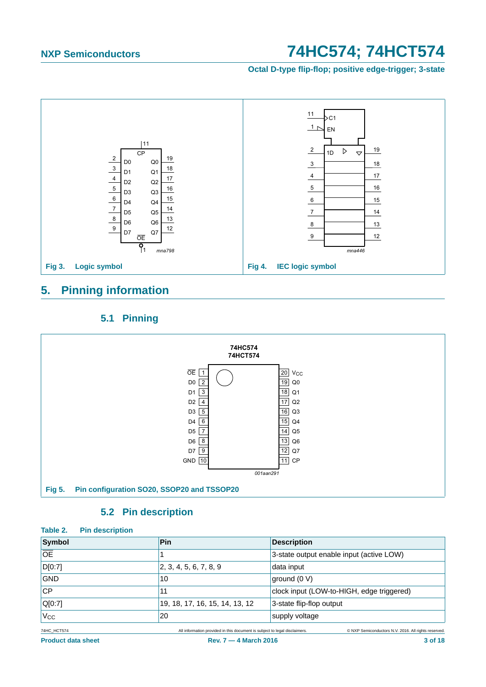**Octal D-type flip-flop; positive edge-trigger; 3-state**



# <span id="page-2-0"></span>**5. Pinning information**

### **5.1 Pinning**

<span id="page-2-1"></span>

### **5.2 Pin description**

<span id="page-2-2"></span>

| Table 2.<br><b>Pin description</b> |                                                                            |                                                      |
|------------------------------------|----------------------------------------------------------------------------|------------------------------------------------------|
| Symbol                             | Pin                                                                        | <b>Description</b>                                   |
| <b>OE</b>                          |                                                                            | 3-state output enable input (active LOW)             |
| DI[0:7]                            | 2, 3, 4, 5, 6, 7, 8, 9                                                     | data input                                           |
| <b>GND</b>                         | 10                                                                         | ground (0 V)                                         |
| <b>CP</b>                          | 11                                                                         | clock input (LOW-to-HIGH, edge triggered)            |
| Q[0:7]                             | 19, 18, 17, 16, 15, 14, 13, 12                                             | 3-state flip-flop output                             |
| $V_{CC}$                           | 20                                                                         | supply voltage                                       |
| 74HC HCT574                        | All information provided in this document is subject to legal disclaimers. | © NXP Semiconductors N.V. 2016. All rights reserved. |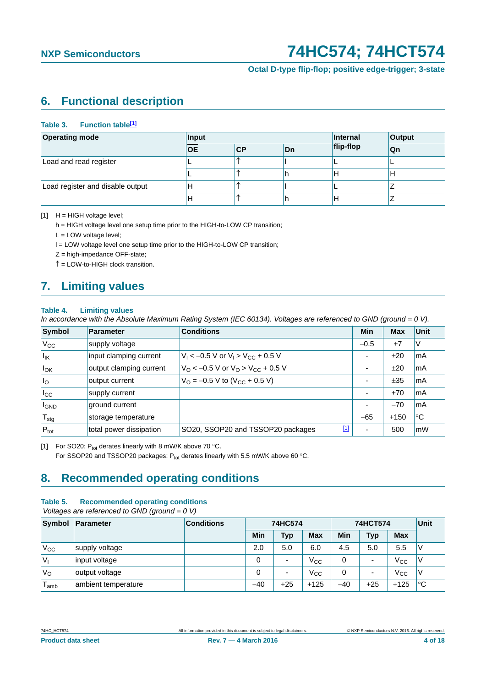**Octal D-type flip-flop; positive edge-trigger; 3-state**

# <span id="page-3-2"></span>**6. Functional description**

#### Table 3. Function table<sup>[1]</sup>

| <b>Operating mode</b>            | Input     |     | Internal | Output    |    |
|----------------------------------|-----------|-----|----------|-----------|----|
|                                  | <b>OE</b> | lCP | Dn       | flip-flop | Qn |
| Load and read register           |           |     |          |           |    |
|                                  |           |     |          | Н         |    |
| Load register and disable output | Н         |     |          | ۰         |    |
|                                  | н         |     |          | Н         |    |

<span id="page-3-0"></span>[1] H = HIGH voltage level;

h = HIGH voltage level one setup time prior to the HIGH-to-LOW CP transition;

L = LOW voltage level;

l = LOW voltage level one setup time prior to the HIGH-to-LOW CP transition;

Z = high-impedance OFF-state;

 $\uparrow$  = LOW-to-HIGH clock transition.

# <span id="page-3-3"></span>**7. Limiting values**

#### **Table 4. Limiting values**

*In accordance with the Absolute Maximum Rating System (IEC 60134). Voltages are referenced to GND (ground = 0 V).*

| <b>Symbol</b>                | <b>Parameter</b>        | <b>Conditions</b>                                             |       | Min                      | <b>Max</b> | <b>Unit</b> |
|------------------------------|-------------------------|---------------------------------------------------------------|-------|--------------------------|------------|-------------|
| $V_{\rm CC}$                 | supply voltage          |                                                               |       | $-0.5$                   | $+7$       | V           |
| $\vert I_{\mathsf{IK}}\vert$ | input clamping current  | $V_1 < -0.5$ V or $V_1 > V_{CC} + 0.5$ V                      |       | ۰                        | ±20        | mA          |
| $I_{OK}$                     | output clamping current | $V_{\rm O}$ < -0.5 V or $V_{\rm O}$ > V <sub>CC</sub> + 0.5 V |       | ۰                        | ±20        | mA          |
| $\vert I_{\rm O}\vert$       | output current          | $V_{\Omega}$ = -0.5 V to (V <sub>CC</sub> + 0.5 V)            |       | ۰                        | ±35        | mA          |
| $I_{\rm CC}$                 | supply current          |                                                               |       | $\overline{\phantom{a}}$ | $+70$      | mA          |
| <b>I</b> GND                 | ground current          |                                                               |       | $\overline{\phantom{a}}$ | $-70$      | mA          |
| $T_{\text{stg}}$             | storage temperature     |                                                               |       | $-65$                    | $+150$     | °C          |
| $P_{\text{tot}}$             | total power dissipation | SO20, SSOP20 and TSSOP20 packages                             | $[1]$ | $\overline{\phantom{a}}$ | 500        | mW          |

<span id="page-3-1"></span>[1] For SO20:  $P_{tot}$  derates linearly with 8 mW/K above 70 °C.

For SSOP20 and TSSOP20 packages:  $P_{tot}$  derates linearly with 5.5 mW/K above 60 °C.

# <span id="page-3-4"></span>**8. Recommended operating conditions**

#### **Table 5. Recommended operating conditions**

 *Voltages are referenced to GND (ground = 0 V)*

| Symbol             | Parameter           | <b>Conditions</b> | 74HC574 |                          |              |       | <b>74HCT574</b>          |              | Unit        |
|--------------------|---------------------|-------------------|---------|--------------------------|--------------|-------|--------------------------|--------------|-------------|
|                    |                     |                   | Min     | Typ                      | <b>Max</b>   | Min   | <b>Typ</b>               | <b>Max</b>   |             |
| $V_{\rm CC}$       | supply voltage      |                   | 2.0     | 5.0                      | 6.0          | 4.5   | 5.0                      | 5.5          | V           |
| $V_{1}$            | input voltage       |                   | 0       | $\overline{\phantom{0}}$ | $V_{\rm CC}$ |       | -                        | $V_{\rm CC}$ | V           |
| 'V <sub>o</sub>    | output voltage      |                   | 0       | $\overline{\phantom{0}}$ | $V_{\rm CC}$ | 0     | $\overline{\phantom{0}}$ | $V_{\rm CC}$ | V           |
| $\mathbf$<br>l amb | ambient temperature |                   | $-40$   | $+25$                    | $+125$       | $-40$ | $+25$                    | $+125$       | $^{\circ}C$ |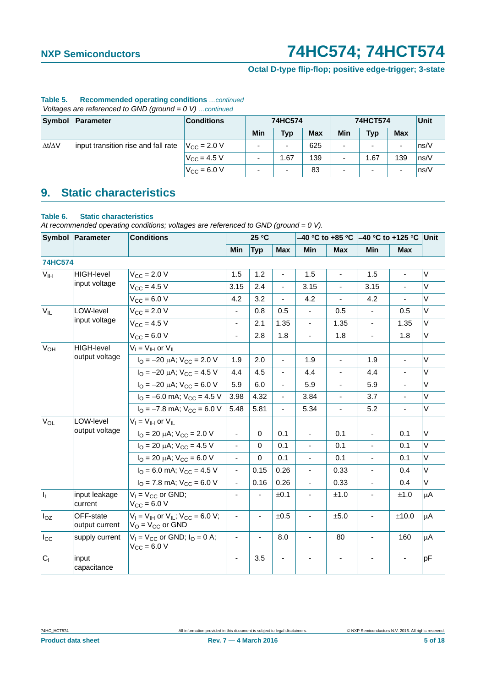### **Octal D-type flip-flop; positive edge-trigger; 3-state**

| voltages are referenced to GivD (ground = 0 V)Commuted |                                     |                      |     |                          |            |                 |            |                          |      |  |  |
|--------------------------------------------------------|-------------------------------------|----------------------|-----|--------------------------|------------|-----------------|------------|--------------------------|------|--|--|
| Symbol                                                 | Parameter                           | <b>Conditions</b>    |     | 74HC574                  |            | <b>74HCT574</b> | Unit       |                          |      |  |  |
|                                                        |                                     |                      | Min | Typ                      | <b>Max</b> | Min             | <b>Typ</b> | Max                      |      |  |  |
| ι Δt/ΔV                                                | input transition rise and fall rate | $V_{\rm CC}$ = 2.0 V | -   | $\overline{\phantom{0}}$ | 625        |                 | -          | $\overline{\phantom{a}}$ | ns/V |  |  |
|                                                        |                                     | $V_{\rm CC} = 4.5 V$ |     | .67                      | 139        |                 | 1.67       | 139                      | ns/V |  |  |
|                                                        |                                     | $V_{\rm CC}$ = 6.0 V | -   | $\overline{\phantom{0}}$ | 83         |                 | -          | $\overline{\phantom{a}}$ | ns/V |  |  |

# **Table 5. Recommended operating conditions** *…continued*

 $V$ oltages are referenced to GND (ground  $= 0$  V)

### <span id="page-4-0"></span>**9. Static characteristics**

#### **Table 6. Static characteristics**

*At recommended operating conditions; voltages are referenced to GND (ground = 0 V).*

| Symbol Parameter      |                             | <b>Conditions</b>                                                       |                          | 25 °C       |                |                          |                |                          |                          |         |
|-----------------------|-----------------------------|-------------------------------------------------------------------------|--------------------------|-------------|----------------|--------------------------|----------------|--------------------------|--------------------------|---------|
|                       |                             |                                                                         | <b>Min</b>               | <b>Typ</b>  | <b>Max</b>     | Min                      | <b>Max</b>     | <b>Min</b>               | <b>Max</b>               |         |
| <b>74HC574</b>        |                             |                                                                         |                          |             |                |                          |                |                          |                          |         |
| V <sub>IH</sub>       | <b>HIGH-level</b>           | $V_{CC}$ = 2.0 V                                                        | 1.5                      | 1.2         | $\blacksquare$ | 1.5                      | $\blacksquare$ | 1.5                      | $\blacksquare$           | V       |
|                       | input voltage               | $V_{CC}$ = 4.5 V                                                        | 3.15                     | 2.4         |                | 3.15                     |                | 3.15                     |                          | $\vee$  |
|                       |                             | $V_{CC}$ = 6.0 V                                                        | 4.2                      | 3.2         | $\blacksquare$ | 4.2                      | $\blacksquare$ | 4.2                      | $\blacksquare$           | V       |
| $V_{\rm IL}$          | LOW-level                   | $V_{\text{CC}}$ = 2.0 V                                                 | $\overline{\phantom{a}}$ | 0.8         | 0.5            | $\overline{\phantom{a}}$ | 0.5            | $\blacksquare$           | 0.5                      | V       |
|                       | input voltage               | $V_{CC} = 4.5 V$                                                        | $\overline{\phantom{a}}$ | 2.1         | 1.35           |                          | 1.35           | ä,                       | 1.35                     | $\vee$  |
|                       |                             | $V_{CC}$ = 6.0 V                                                        | ÷,                       | 2.8         | 1.8            | $\blacksquare$           | 1.8            | ä,                       | 1.8                      | V       |
| <b>V<sub>OH</sub></b> | <b>HIGH-level</b>           | $V_I = V_{IH}$ or $V_{IL}$                                              |                          |             |                |                          |                |                          |                          |         |
|                       | output voltage              | $I_{\rm O} = -20 \mu A$ ; $V_{\rm CC} = 2.0 \text{ V}$                  | 1.9                      | 2.0         | $\blacksquare$ | 1.9                      | $\blacksquare$ | 1.9                      | $\blacksquare$           | $\vee$  |
|                       |                             | $I_{\text{O}} = -20 \mu\text{A}$ ; $V_{\text{CC}} = 4.5 \text{ V}$      | 4.4                      | 4.5         | $\blacksquare$ | 4.4                      | $\overline{a}$ | 4.4                      |                          | $\vee$  |
|                       |                             | $I_{\text{O}} = -20 \mu\text{A}$ ; $V_{\text{CC}} = 6.0 \text{ V}$      | 5.9                      | 6.0         | ÷,             | 5.9                      | $\blacksquare$ | 5.9                      | $\overline{\phantom{a}}$ | V       |
|                       |                             | $I_{\text{O}} = -6.0$ mA; $V_{\text{CC}} = 4.5$ V                       | 3.98                     | 4.32        |                | 3.84                     |                | 3.7                      |                          | $\vee$  |
|                       |                             | $I_{\text{O}} = -7.8 \text{ mA}$ ; $V_{\text{CC}} = 6.0 \text{ V}$      | 5.48                     | 5.81        | $\blacksquare$ | 5.34                     | ÷,             | 5.2                      | $\overline{a}$           | V       |
| $V_{OL}$              | LOW-level                   | $V_I = V_{IH}$ or $V_{IL}$                                              |                          |             |                |                          |                |                          |                          |         |
|                       | output voltage              | $I_{\text{O}}$ = 20 µA; $V_{\text{CC}}$ = 2.0 V                         | $\blacksquare$           | 0           | 0.1            | $\blacksquare$           | 0.1            | $\blacksquare$           | 0.1                      | V       |
|                       |                             | $I_{\text{O}}$ = 20 µA; $V_{\text{CC}}$ = 4.5 V                         | ÷,                       | $\mathbf 0$ | 0.1            |                          | 0.1            |                          | 0.1                      | V       |
|                       |                             | $I_{\text{O}}$ = 20 $\mu$ A; V <sub>CC</sub> = 6.0 V                    | $\blacksquare$           | $\Omega$    | 0.1            |                          | 0.1            | ä,                       | 0.1                      | $\vee$  |
|                       |                             | $IO$ = 6.0 mA; $VCC$ = 4.5 V                                            | $\blacksquare$           | 0.15        | 0.26           | $\overline{\phantom{a}}$ | 0.33           | $\blacksquare$           | 0.4                      | V       |
|                       |                             | $IO$ = 7.8 mA; $VCC$ = 6.0 V                                            | $\blacksquare$           | 0.16        | 0.26           |                          | 0.33           | ÷,                       | 0.4                      | $\vee$  |
| h.                    | input leakage<br>current    | $V_1 = V_{CC}$ or GND;<br>$V_{CC} = 6.0 V$                              | $\blacksquare$           |             | ±0.1           | $\blacksquare$           | ±1.0           | $\blacksquare$           | ±1.0                     | $\mu$ A |
| $I_{OZ}$              | OFF-state<br>output current | $V_1 = V_{1H}$ or $V_{1L}$ ; $V_{CC} = 6.0$ V;<br>$V_O = V_{CC}$ or GND | $\overline{\phantom{a}}$ | Ĭ.          | ±0.5           | $\overline{\phantom{0}}$ | ±5.0           | $\overline{\phantom{a}}$ | ±10.0                    | $\mu$ A |
| $I_{\rm CC}$          | supply current              | $V_1 = V_{CC}$ or GND; $I_0 = 0$ A;<br>$V_{\text{CC}} = 6.0 V$          | $\blacksquare$           | ٠           | 8.0            |                          | 80             | $\blacksquare$           | 160                      | $\mu$ A |
| C <sub>1</sub>        | input<br>capacitance        |                                                                         | $\overline{\phantom{a}}$ | 3.5         |                |                          | $\blacksquare$ |                          |                          | pF      |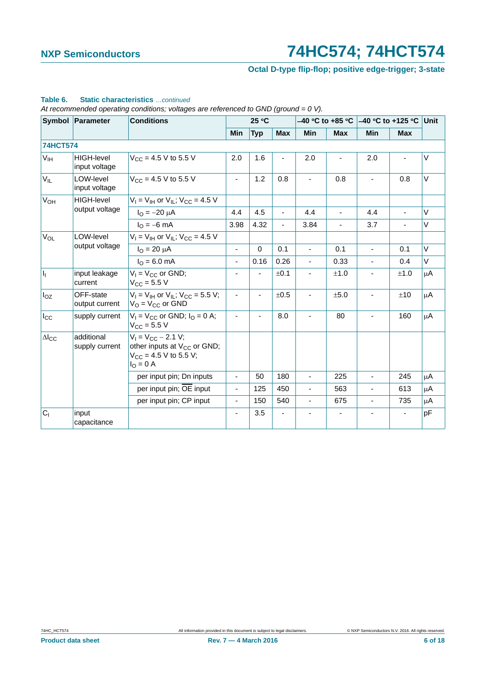### **Octal D-type flip-flop; positive edge-trigger; 3-state**

|                        | Symbol Parameter                   | <b>Conditions</b>                                                                                              |                          | 25 °C                        |                |                          | –40 °C to +85 °C         |                          | $-40$ °C to +125 °C      | <b>Unit</b> |
|------------------------|------------------------------------|----------------------------------------------------------------------------------------------------------------|--------------------------|------------------------------|----------------|--------------------------|--------------------------|--------------------------|--------------------------|-------------|
|                        |                                    |                                                                                                                | Min                      | <b>Typ</b>                   | <b>Max</b>     | Min                      | <b>Max</b>               | Min                      | <b>Max</b>               |             |
| <b>74HCT574</b>        |                                    |                                                                                                                |                          |                              |                |                          |                          |                          |                          |             |
| V <sub>IH</sub>        | <b>HIGH-level</b><br>input voltage | $V_{CC}$ = 4.5 V to 5.5 V                                                                                      | 2.0                      | 1.6                          | ٠              | 2.0                      | $\overline{\phantom{0}}$ | 2.0                      | $\overline{\phantom{m}}$ | V           |
| $V_{IL}$               | LOW-level<br>input voltage         | $V_{CC}$ = 4.5 V to 5.5 V                                                                                      | $\blacksquare$           | 1.2                          | 0.8            |                          | 0.8                      | $\blacksquare$           | 0.8                      | V           |
| <b>V<sub>OH</sub></b>  | <b>HIGH-level</b>                  | $V_1 = V_{1H}$ or $V_{1I}$ ; $V_{CC} = 4.5$ V                                                                  |                          |                              |                |                          |                          |                          |                          |             |
|                        | output voltage                     | $I_{\Omega} = -20 \mu A$                                                                                       | 4.4                      | 4.5                          | $\blacksquare$ | 4.4                      | ä,                       | 4.4                      | $\overline{\phantom{a}}$ | $\vee$      |
|                        |                                    | $I_{\Omega} = -6$ mA                                                                                           | 3.98                     | 4.32                         | $\blacksquare$ | 3.84                     | $\blacksquare$           | 3.7                      | $\sim$                   | V           |
| $V_{OL}$               | LOW-level                          | $V_1 = V_{1H}$ or $V_{1L}$ ; $V_{CC} = 4.5$ V                                                                  |                          |                              |                |                          |                          |                          |                          |             |
|                        | output voltage                     | $I_{\Omega} = 20 \mu A$                                                                                        | $\blacksquare$           | $\Omega$                     | 0.1            | $\blacksquare$           | 0.1                      | $\blacksquare$           | 0.1                      | V           |
|                        |                                    | $I_{\Omega} = 6.0$ mA                                                                                          | ÷,                       | 0.16                         | 0.26           | $\overline{\phantom{0}}$ | 0.33                     | $\blacksquare$           | 0.4                      | V           |
| $\vert$ <sub>I</sub>   | input leakage<br>current           | $V_1 = V_{CC}$ or GND;<br>$V_{\rm CC}$ = 5.5 V                                                                 | $\overline{\phantom{0}}$ |                              | ±0.1           |                          | ±1.0                     |                          | ±1.0                     | μA          |
| $I_{OZ}$               | OFF-state<br>output current        | $V_1 = V_{1H}$ or $V_{1I}$ ; $V_{CC} = 5.5$ V;<br>$V_{\rm O}$ = $V_{\rm CC}$ or GND                            | ÷,                       | ä,                           | ±0.5           |                          | ±5.0                     | ÷,                       | ±10                      | μA          |
| $I_{\rm CC}$           | supply current                     | $V_1 = V_{CC}$ or GND; $I_Q = 0$ A;<br>$V_{CC}$ = 5.5 V                                                        | $\blacksquare$           | $\qquad \qquad \blacksquare$ | 8.0            |                          | 80                       | $\overline{\phantom{a}}$ | 160                      | μA          |
| $\Delta$ <sub>cc</sub> | additional<br>supply current       | $V_1 = V_{CC} - 2.1 V;$<br>other inputs at V <sub>CC</sub> or GND;<br>$V_{CC}$ = 4.5 V to 5.5 V;<br>$IO = 0$ A |                          |                              |                |                          |                          |                          |                          |             |
|                        |                                    | per input pin; Dn inputs                                                                                       | $\overline{\phantom{a}}$ | 50                           | 180            |                          | 225                      |                          | 245                      | $\mu$ A     |
|                        |                                    | per input pin; OE input                                                                                        | ٠                        | 125                          | 450            |                          | 563                      | $\blacksquare$           | 613                      | μA          |
|                        |                                    | per input pin; CP input                                                                                        | ÷,                       | 150                          | 540            | $\blacksquare$           | 675                      | $\blacksquare$           | 735                      | μA          |
| C <sub>1</sub>         | input<br>capacitance               |                                                                                                                | $\overline{\phantom{a}}$ | 3.5                          |                |                          |                          |                          |                          | pF          |

#### **Table 6. Static characteristics** *…continued*

*At recommended operating conditions; voltages are referenced to GND (ground = 0 V).*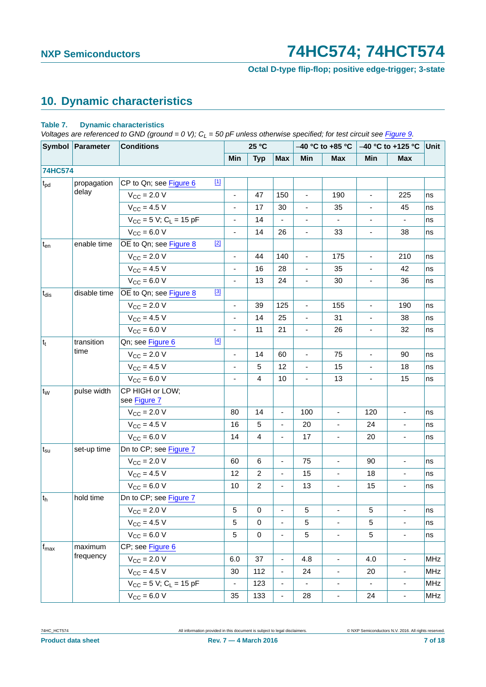**Octal D-type flip-flop; positive edge-trigger; 3-state**

# <span id="page-6-1"></span>**10. Dynamic characteristics**

#### <span id="page-6-0"></span>**Table 7. Dynamic characteristics**

*Voltages are referenced to GND (ground = 0 V); C<sub>L</sub> = 50 pF unless otherwise specified; for test circuit see [Figure 9.](#page-10-0)* 

|                  | Symbol Parameter | <b>Conditions</b>                       |                              | 25 °C               |                          |                          | $-40$ °C to +85 °C           |                              | -40 °C to +125 °C            | Unit |
|------------------|------------------|-----------------------------------------|------------------------------|---------------------|--------------------------|--------------------------|------------------------------|------------------------------|------------------------------|------|
|                  |                  |                                         | Min                          | <b>Typ</b>          | <b>Max</b>               | Min                      | Max                          | Min                          | Max                          |      |
| <b>74HC574</b>   |                  |                                         |                              |                     |                          |                          |                              |                              |                              |      |
| $t_{\rm pd}$     | propagation      | $\boxed{1}$<br>CP to Qn; see Figure 6   |                              |                     |                          |                          |                              |                              |                              |      |
|                  | delay            | $V_{\text{CC}} = 2.0 V$                 | $\frac{1}{2}$                | 47                  | 150                      | ÷.                       | 190                          | $\blacksquare$               | 225                          | ns   |
|                  |                  | $V_{\text{CC}} = 4.5 V$                 | $\overline{\phantom{0}}$     | 17                  | 30                       | $\overline{\phantom{a}}$ | 35                           | $\qquad \qquad \blacksquare$ | 45                           | ns   |
|                  |                  | $V_{CC} = 5 V$ ; C <sub>L</sub> = 15 pF | $\frac{1}{2}$                | 14                  | $\blacksquare$           | ÷,                       | $\blacksquare$               | $\blacksquare$               | $\blacksquare$               | ns   |
|                  |                  | $V_{CC} = 6.0 V$                        | $\qquad \qquad \blacksquare$ | 14                  | 26                       |                          | 33                           | ÷                            | 38                           | ns   |
| $t_{en}$         | enable time      | $[2]$<br>OE to Qn; see Figure 8         |                              |                     |                          |                          |                              |                              |                              |      |
|                  |                  | $V_{\text{CC}} = 2.0 V$                 | $\blacksquare$               | 44                  | 140                      | $\blacksquare$           | 175                          | $\blacksquare$               | 210                          | ns   |
|                  |                  | $V_{CC} = 4.5 V$                        | ä,                           | 16                  | 28                       | ÷,                       | 35                           | $\blacksquare$               | 42                           | ns   |
|                  |                  | $V_{\text{CC}} = 6.0 V$                 | $\qquad \qquad \blacksquare$ | 13                  | 24                       | ٠                        | 30                           | ÷                            | 36                           | ns   |
| t <sub>dis</sub> | disable time     | $[3]$<br>OE to Qn; see Figure 8         |                              |                     |                          |                          |                              |                              |                              |      |
|                  |                  | $V_{\text{CC}} = 2.0 V$                 | $\qquad \qquad \blacksquare$ | 39                  | 125                      | $\overline{\phantom{a}}$ | 155                          | $\qquad \qquad \blacksquare$ | 190                          | ns   |
|                  |                  | $V_{\text{CC}} = 4.5 V$                 | $\frac{1}{2}$                | 14                  | 25                       | ÷,                       | 31                           | $\blacksquare$               | 38                           | ns   |
|                  |                  | $V_{CC} = 6.0 V$                        | $\qquad \qquad \blacksquare$ | 11                  | 21                       | ÷,                       | 26                           | ÷                            | 32                           | ns   |
| $ t_t $          | transition       | $[4]$<br>Qn; see Figure 6               |                              |                     |                          |                          |                              |                              |                              |      |
|                  | time             | $V_{\text{CC}} = 2.0 V$                 | $\frac{1}{2}$                | 14                  | 60                       | $\blacksquare$           | 75                           | $\blacksquare$               | 90                           | ns   |
|                  |                  | $V_{CC} = 4.5 V$                        | ä,                           | 5                   | 12                       | ÷,                       | 15                           | $\blacksquare$               | 18                           | ns   |
|                  |                  | $V_{CC} = 6.0 V$                        | $\overline{\phantom{0}}$     | 4                   | 10                       |                          | 13                           | ÷                            | 15                           | ns   |
| $ t_W $          | pulse width      | CP HIGH or LOW;<br>see Figure 7         |                              |                     |                          |                          |                              |                              |                              |      |
|                  |                  | $V_{\text{CC}} = 2.0 V$                 | 80                           | 14                  |                          | 100                      | ÷,                           | 120                          | ä,                           | ns   |
|                  |                  | $V_{CC}$ = 4.5 V                        | 16                           | 5                   | ÷,                       | 20                       | $\blacksquare$               | 24                           | $\blacksquare$               | ns   |
|                  |                  | $V_{\text{CC}} = 6.0 V$                 | 14                           | $\overline{4}$      |                          | 17                       | ä,                           | 20                           | L.                           | ns   |
| $t_{\rm su}$     | set-up time      | Dn to CP; see Figure 7                  |                              |                     |                          |                          |                              |                              |                              |      |
|                  |                  | $V_{\text{CC}} = 2.0 V$                 | 60                           | 6                   |                          | 75                       | $\blacksquare$               | 90                           | ÷,                           | ns   |
|                  |                  | $V_{CC}$ = 4.5 V                        | 12                           | $\overline{c}$      | $\blacksquare$           | 15                       | $\overline{\phantom{a}}$     | 18                           | $\qquad \qquad \blacksquare$ | ns   |
|                  |                  | $V_{\text{CC}} = 6.0 V$                 | 10                           | $\overline{c}$      |                          | 13                       |                              | 15                           |                              | ns   |
| $ t_{h} $        | hold time        | Dn to CP; see Figure 7                  |                              |                     |                          |                          |                              |                              |                              |      |
|                  |                  | $V_{\text{CC}} = 2.0 V$                 | 5                            | $\pmb{0}$           |                          | 5                        | ÷,                           | $\,$ 5 $\,$                  |                              | ns   |
|                  |                  | $V_{CC} = 4.5 V$                        | 5                            | $\mathsf{O}\xspace$ |                          | 5                        | $\blacksquare$               | 5                            | $\qquad \qquad \blacksquare$ | ns   |
|                  |                  | $V_{CC} = 6.0 V$                        | 5                            | $\mathbf 0$         |                          | 5                        | $\overline{\phantom{0}}$     | $\sqrt{5}$                   | $\blacksquare$               | ns   |
| $ f_{\sf max} $  | maximum          | CP; see Figure 6                        |                              |                     |                          |                          |                              |                              |                              |      |
|                  | frequency        | $V_{\text{CC}} = 2.0 V$                 | 6.0                          | 37                  |                          | 4.8                      | $\qquad \qquad \blacksquare$ | 4.0                          | $\blacksquare$               | MHz  |
|                  |                  | $V_{CC} = 4.5 V$                        | 30                           | 112                 | $\blacksquare$           | 24                       | $\overline{\phantom{0}}$     | 20                           | $\qquad \qquad \blacksquare$ | MHz  |
|                  |                  | $V_{CC} = 5 V$ ; C <sub>L</sub> = 15 pF | -                            | 123                 |                          |                          | -                            |                              |                              | MHz  |
|                  |                  | $V_{CC} = 6.0 V$                        | 35                           | 133                 | $\overline{\phantom{a}}$ | 28                       | $\overline{\phantom{a}}$     | 24                           | $\qquad \qquad \blacksquare$ | MHz  |
|                  |                  |                                         |                              |                     |                          |                          |                              |                              |                              |      |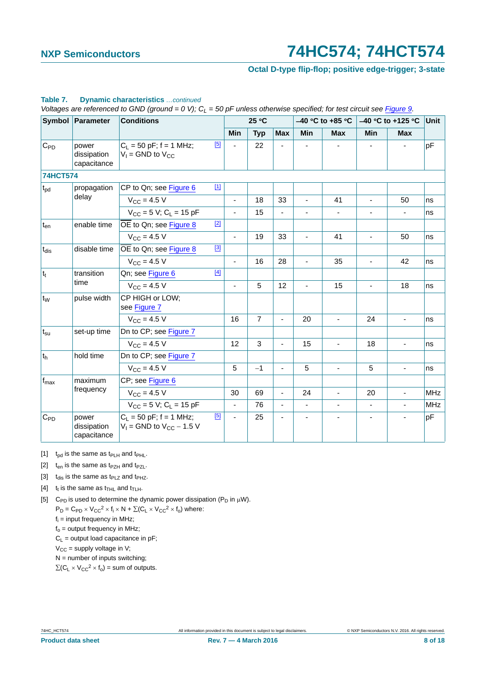#### **Octal D-type flip-flop; positive edge-trigger; 3-state**

|                   | Symbol Parameter                    | <b>Conditions</b>                                            |             |                          | 25 °C          |                |                | $-40$ °C to +85 °C       | -40 °C to +125 °C        |                | Unit       |
|-------------------|-------------------------------------|--------------------------------------------------------------|-------------|--------------------------|----------------|----------------|----------------|--------------------------|--------------------------|----------------|------------|
|                   |                                     |                                                              |             | <b>Min</b>               | <b>Typ</b>     | <b>Max</b>     | Min            | <b>Max</b>               | Min                      | <b>Max</b>     |            |
| $C_{PD}$          | power<br>dissipation<br>capacitance | $C_L = 50$ pF; f = 1 MHz;<br>$V_1$ = GND to $V_{CC}$         | $[5]$       |                          | 22             |                |                |                          |                          |                | pF         |
| <b>74HCT574</b>   |                                     |                                                              |             |                          |                |                |                |                          |                          |                |            |
| $t_{pd}$          | propagation                         | CP to Qn; see Figure 6                                       | $\boxed{1}$ |                          |                |                |                |                          |                          |                |            |
|                   | delay                               | $V_{CC}$ = 4.5 V                                             |             |                          | 18             | 33             | $\blacksquare$ | 41                       | ÷,                       | 50             | ns         |
|                   |                                     | $V_{CC}$ = 5 V; C <sub>L</sub> = 15 pF                       |             |                          | 15             |                |                | ä,                       | $\overline{\phantom{m}}$ | ä,             | ns         |
| $t_{en}$          | enable time                         | OE to Qn; see Figure 8                                       | $[2]$       |                          |                |                |                |                          |                          |                |            |
|                   |                                     | $V_{CC} = 4.5 V$                                             |             | $\blacksquare$           | 19             | 33             | $\blacksquare$ | 41                       | ÷,                       | 50             | ns         |
| t <sub>dis</sub>  | disable time                        | OE to Qn; see Figure 8                                       | $[3]$       |                          |                |                |                |                          |                          |                |            |
|                   |                                     | $V_{CC} = 4.5 V$                                             |             | $\blacksquare$           | 16             | 28             | $\blacksquare$ | 35                       | ä,                       | 42             | ns         |
| $ t_t $           | transition                          | Qn; see Figure 6                                             | $[4]$       |                          |                |                |                |                          |                          |                |            |
|                   | time                                | $V_{\text{CC}} = 4.5 V$                                      |             | $\blacksquare$           | 5              | 12             | $\blacksquare$ | 15                       | $\blacksquare$           | 18             | ns         |
| $t_W$             | pulse width                         | CP HIGH or LOW;<br>see Figure 7                              |             |                          |                |                |                |                          |                          |                |            |
|                   |                                     | $V_{CC} = 4.5 V$                                             |             | 16                       | $\overline{7}$ |                | 20             | ÷,                       | 24                       |                | ns         |
| $t_{\rm su}$      | set-up time                         | Dn to CP; see Figure 7                                       |             |                          |                |                |                |                          |                          |                |            |
|                   |                                     | $V_{\rm CC} = 4.5 V$                                         |             | 12                       | 3              | L.             | 15             | ÷,                       | 18                       | ä,             | ns         |
| $ t_{h} $         | hold time                           | Dn to CP; see Figure 7                                       |             |                          |                |                |                |                          |                          |                |            |
|                   |                                     | $V_{CC} = 4.5 V$                                             |             | 5                        | $-1$           | $\blacksquare$ | 5              | ÷,                       | 5                        | ÷,             | ns         |
| $f_{\text{max}}$  | maximum                             | CP; see Figure 6                                             |             |                          |                |                |                |                          |                          |                |            |
|                   | frequency                           | $V_{CC} = 4.5 V$                                             |             | 30                       | 69             | $\blacksquare$ | 24             | ÷,                       | 20                       | ä,             | MHz        |
|                   |                                     | $V_{CC}$ = 5 V; C <sub>1</sub> = 15 pF                       |             | $\blacksquare$           | 76             |                | $\blacksquare$ | $\overline{\phantom{0}}$ | $\blacksquare$           | $\blacksquare$ | <b>MHz</b> |
| $C_{\mathsf{PD}}$ | power<br>dissipation<br>capacitance | $C_1 = 50$ pF; f = 1 MHz;<br>$V_1$ = GND to $V_{CC}$ – 1.5 V | [5]         | $\overline{\phantom{a}}$ | 25             |                |                |                          | ä,                       | ÷,             | pF         |

#### **Table 7. Dynamic characteristics** *…continued*

*Voltages are referenced to GND (ground = 0 V);*  $C_L = 50$  pF unless otherwise specified; for test circuit see Figure 9.

<span id="page-7-0"></span>[1]  $t_{\text{od}}$  is the same as  $t_{\text{PLH}}$  and  $t_{\text{PHL}}$ .

- <span id="page-7-1"></span>[2]  $t_{en}$  is the same as  $t_{PZH}$  and  $t_{PZL}$ .
- <span id="page-7-2"></span>[3]  $t_{dis}$  is the same as  $t_{PLZ}$  and  $t_{PHZ}$ .
- <span id="page-7-3"></span>[4]  $t_f$  is the same as  $t_{THI}$  and  $t_{THF}$ .
- <span id="page-7-4"></span>[5] C<sub>PD</sub> is used to determine the dynamic power dissipation (P<sub>D</sub> in  $\mu$ W).  $P_D = C_{PD} \times V_{CC}^2 \times f_i \times N + \Sigma (C_L \times V_{CC}^2 \times f_o)$  where: f<sub>i</sub> = input frequency in MHz;  $f<sub>o</sub>$  = output frequency in MHz;  $C_L$  = output load capacitance in pF;  $V_{CC}$  = supply voltage in V;

 $N =$  number of inputs switching;

 $\sum (C_L \times V_{CC}^2 \times f_0)$  = sum of outputs.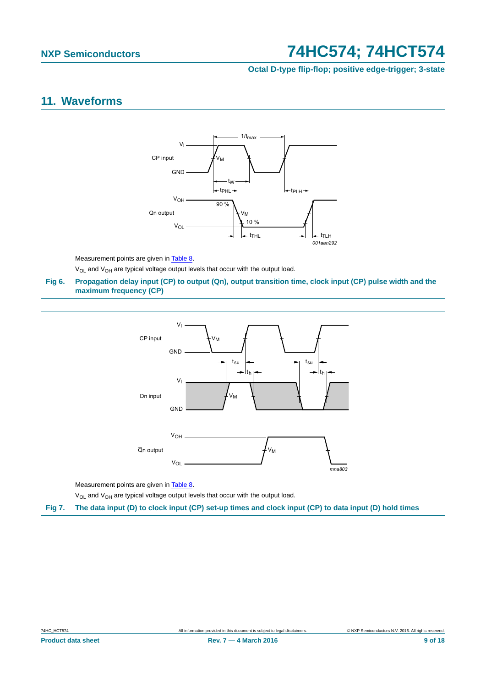**Octal D-type flip-flop; positive edge-trigger; 3-state**

### <span id="page-8-2"></span>**11. Waveforms**



<span id="page-8-1"></span><span id="page-8-0"></span>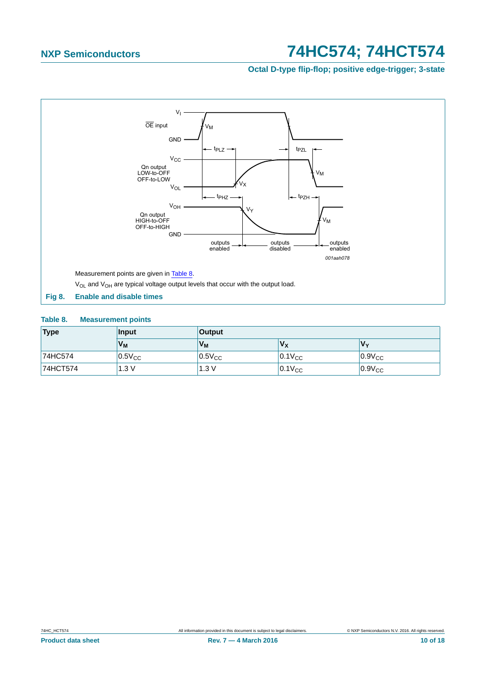### **Octal D-type flip-flop; positive edge-trigger; 3-state**



#### <span id="page-9-1"></span><span id="page-9-0"></span>**Table 8. Measurement points**

| Type     | Input       | <b>Output</b> |             |                 |  |  |  |  |  |
|----------|-------------|---------------|-------------|-----------------|--|--|--|--|--|
|          | $V_M$       | Vм            | $V_{\rm X}$ | 'V <sub>v</sub> |  |  |  |  |  |
| 74HC574  | $0.5V_{CC}$ | $0.5V_{CC}$   | $0.1V_{CC}$ | $0.9V_{CC}$     |  |  |  |  |  |
| 74HCT574 | 1.3V        | 1.3V          | $0.1V_{CC}$ | $0.9V_{CC}$     |  |  |  |  |  |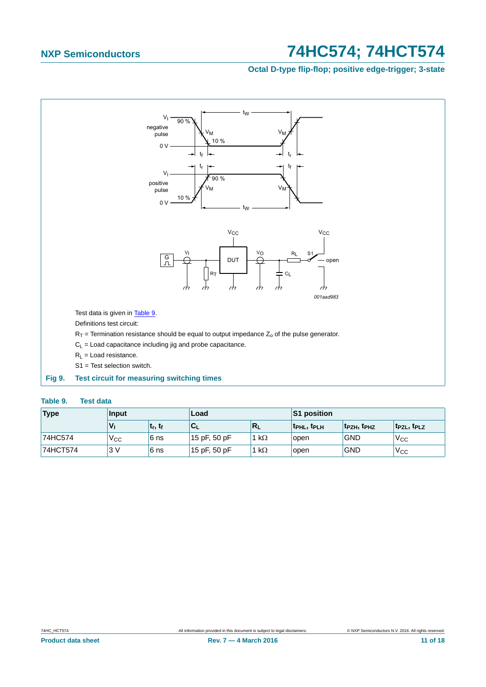### **Octal D-type flip-flop; positive edge-trigger; 3-state**



#### <span id="page-10-1"></span><span id="page-10-0"></span>**Table 9. Test data**

| <b>Type</b> | Input           |              | Load         |              | S1 position       |             |                                     |  |
|-------------|-----------------|--------------|--------------|--------------|-------------------|-------------|-------------------------------------|--|
|             | $V_{1}$         | $ t_r, t_f $ | $C_{L}$      | $R_L$        | <b>TPHL, TPLH</b> | 'tpzh, tphz | t <sub>PZL</sub> , t <sub>PLZ</sub> |  |
| 74HC574     | V <sub>CC</sub> | 6 ns         | 15 pF, 50 pF | 1 k $\Omega$ | open              | <b>GND</b>  | V <sub>CC</sub>                     |  |
| 74HCT574    | 3V              | 6 ns         | 15 pF, 50 pF | 1 k $\Omega$ | open              | <b>GND</b>  | 'V <sub>CC</sub>                    |  |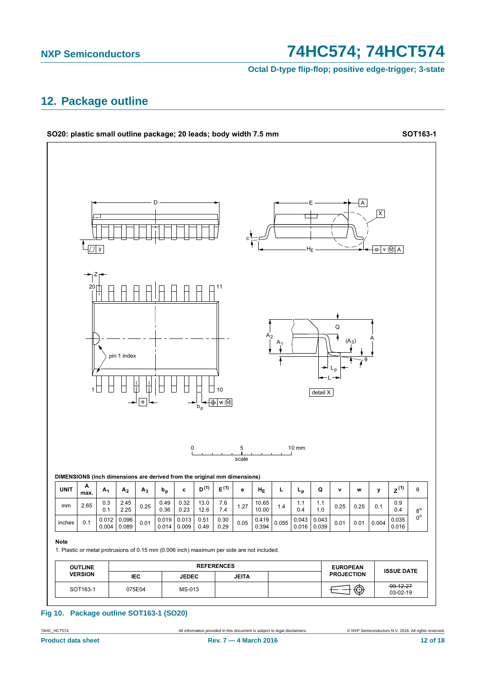#### **NXP Semiconductors**

# 74HC574; 74HCT574

Octal D-type flip-flop; positive edge-trigger; 3-state

### <span id="page-11-0"></span>12. Package outline



#### Fig 10. Package outline SOT163-1 (SO20)

74HC\_HCT574 **Product data sheet**  © NXP Semiconductors N.V. 2016. All rights reserved.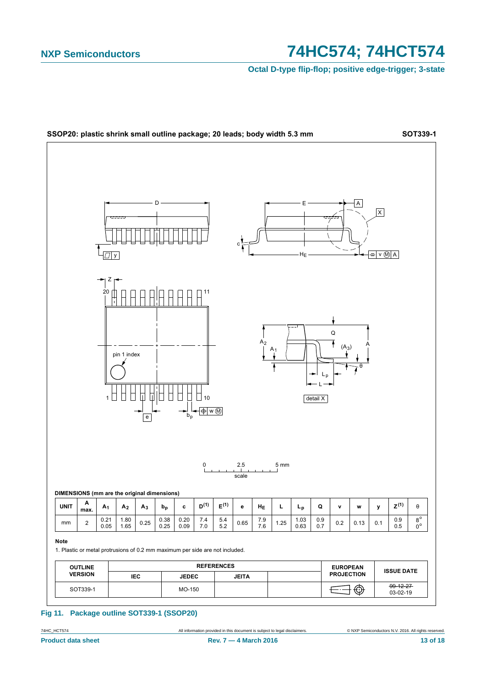# 74HC574; 74HCT574

Octal D-type flip-flop; positive edge-trigger; 3-state



#### Fig 11. Package outline SOT339-1 (SSOP20)

74HC\_HCT574 **Product data sheet**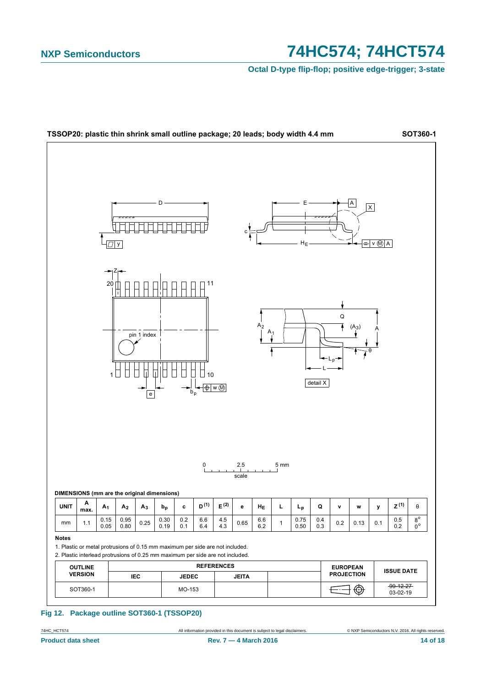# 74HC574; 74HCT574

Octal D-type flip-flop; positive edge-trigger; 3-state



#### Fig 12. Package outline SOT360-1 (TSSOP20)

74HC\_HCT574 **Product data sheet**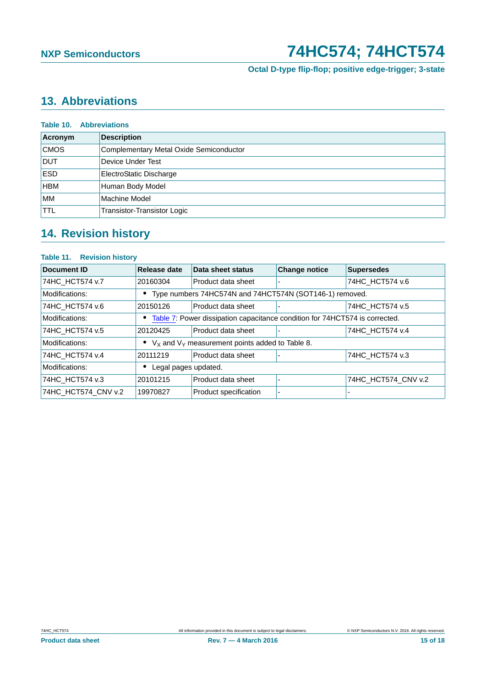**Octal D-type flip-flop; positive edge-trigger; 3-state**

# <span id="page-14-0"></span>**13. Abbreviations**

| <b>Abbreviations</b><br>Table 10. |                                         |  |  |  |
|-----------------------------------|-----------------------------------------|--|--|--|
| Acronym                           | <b>Description</b>                      |  |  |  |
| <b>CMOS</b>                       | Complementary Metal Oxide Semiconductor |  |  |  |
| DUT                               | Device Under Test                       |  |  |  |
| <b>ESD</b>                        | ElectroStatic Discharge                 |  |  |  |
| <b>HBM</b>                        | Human Body Model                        |  |  |  |
| <b>MM</b>                         | Machine Model                           |  |  |  |
| <b>TTL</b>                        | Transistor-Transistor Logic             |  |  |  |

# <span id="page-14-1"></span>**14. Revision history**

### **Table 11. Revision history**

| <b>Document ID</b>  | Release date         | Data sheet status                                                           | <b>Change notice</b> | <b>Supersedes</b>   |
|---------------------|----------------------|-----------------------------------------------------------------------------|----------------------|---------------------|
| 74HC_HCT574 v.7     | 20160304             | Product data sheet                                                          |                      | 74HC_HCT574 v.6     |
| Modifications:      |                      | Type numbers 74HC574N and 74HCT574N (SOT146-1) removed.                     |                      |                     |
| 74HC_HCT574 v.6     | 20150126             | Product data sheet                                                          |                      | 74HC HCT574 v.5     |
| Modifications:      |                      | Table 7: Power dissipation capacitance condition for 74HCT574 is corrected. |                      |                     |
| 74HC HCT574 v.5     | 20120425             | Product data sheet                                                          |                      | 74HC HCT574 v.4     |
| Modifications:      |                      | • $V_X$ and $V_Y$ measurement points added to Table 8.                      |                      |                     |
| 74HC HCT574 v.4     | 20111219             | Product data sheet                                                          |                      | 74HC HCT574 v.3     |
| Modifications:      | Legal pages updated. |                                                                             |                      |                     |
| 74HC HCT574 v.3     | 20101215             | Product data sheet                                                          |                      | 74HC_HCT574_CNV v.2 |
| 74HC_HCT574_CNV v.2 | 19970827             | Product specification                                                       |                      |                     |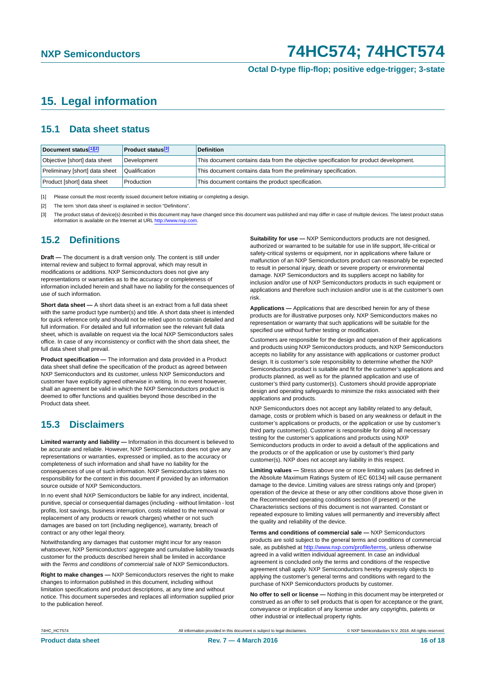**Octal D-type flip-flop; positive edge-trigger; 3-state**

### <span id="page-15-3"></span>**15. Legal information**

#### <span id="page-15-4"></span>**15.1 Data sheet status**

| Document status[1][2]          | <b>Product status</b> <sup>[3]</sup> | <b>Definition</b>                                                                     |
|--------------------------------|--------------------------------------|---------------------------------------------------------------------------------------|
| Objective [short] data sheet   | Development                          | This document contains data from the objective specification for product development. |
| Preliminary [short] data sheet | Qualification                        | This document contains data from the preliminary specification.                       |
| Product [short] data sheet     | Production                           | This document contains the product specification.                                     |

<span id="page-15-0"></span>[1] Please consult the most recently issued document before initiating or completing a design.

<span id="page-15-1"></span>[2] The term 'short data sheet' is explained in section "Definitions".

<span id="page-15-2"></span>[3] The product status of device(s) described in this document may have changed since this document was published and may differ in case of multiple devices. The latest product status<br>information is available on the Intern

#### <span id="page-15-5"></span>**15.2 Definitions**

**Draft —** The document is a draft version only. The content is still under internal review and subject to formal approval, which may result in modifications or additions. NXP Semiconductors does not give any representations or warranties as to the accuracy or completeness of information included herein and shall have no liability for the consequences of use of such information.

**Short data sheet —** A short data sheet is an extract from a full data sheet with the same product type number(s) and title. A short data sheet is intended for quick reference only and should not be relied upon to contain detailed and full information. For detailed and full information see the relevant full data sheet, which is available on request via the local NXP Semiconductors sales office. In case of any inconsistency or conflict with the short data sheet, the full data sheet shall prevail.

**Product specification —** The information and data provided in a Product data sheet shall define the specification of the product as agreed between NXP Semiconductors and its customer, unless NXP Semiconductors and customer have explicitly agreed otherwise in writing. In no event however, shall an agreement be valid in which the NXP Semiconductors product is deemed to offer functions and qualities beyond those described in the Product data sheet.

### <span id="page-15-6"></span>**15.3 Disclaimers**

**Limited warranty and liability —** Information in this document is believed to be accurate and reliable. However, NXP Semiconductors does not give any representations or warranties, expressed or implied, as to the accuracy or completeness of such information and shall have no liability for the consequences of use of such information. NXP Semiconductors takes no responsibility for the content in this document if provided by an information source outside of NXP Semiconductors.

In no event shall NXP Semiconductors be liable for any indirect, incidental, punitive, special or consequential damages (including - without limitation - lost profits, lost savings, business interruption, costs related to the removal or replacement of any products or rework charges) whether or not such damages are based on tort (including negligence), warranty, breach of contract or any other legal theory.

Notwithstanding any damages that customer might incur for any reason whatsoever, NXP Semiconductors' aggregate and cumulative liability towards customer for the products described herein shall be limited in accordance with the *Terms and conditions of commercial sale* of NXP Semiconductors.

**Right to make changes —** NXP Semiconductors reserves the right to make changes to information published in this document, including without limitation specifications and product descriptions, at any time and without notice. This document supersedes and replaces all information supplied prior to the publication hereof.

**Suitability for use —** NXP Semiconductors products are not designed, authorized or warranted to be suitable for use in life support, life-critical or safety-critical systems or equipment, nor in applications where failure or malfunction of an NXP Semiconductors product can reasonably be expected to result in personal injury, death or severe property or environmental damage. NXP Semiconductors and its suppliers accept no liability for inclusion and/or use of NXP Semiconductors products in such equipment or applications and therefore such inclusion and/or use is at the customer's own risk.

**Applications —** Applications that are described herein for any of these products are for illustrative purposes only. NXP Semiconductors makes no representation or warranty that such applications will be suitable for the specified use without further testing or modification.

Customers are responsible for the design and operation of their applications and products using NXP Semiconductors products, and NXP Semiconductors accepts no liability for any assistance with applications or customer product design. It is customer's sole responsibility to determine whether the NXP Semiconductors product is suitable and fit for the customer's applications and products planned, as well as for the planned application and use of customer's third party customer(s). Customers should provide appropriate design and operating safeguards to minimize the risks associated with their applications and products.

NXP Semiconductors does not accept any liability related to any default, damage, costs or problem which is based on any weakness or default in the customer's applications or products, or the application or use by customer's third party customer(s). Customer is responsible for doing all necessary testing for the customer's applications and products using NXP Semiconductors products in order to avoid a default of the applications and the products or of the application or use by customer's third party customer(s). NXP does not accept any liability in this respect.

**Limiting values —** Stress above one or more limiting values (as defined in the Absolute Maximum Ratings System of IEC 60134) will cause permanent damage to the device. Limiting values are stress ratings only and (proper) operation of the device at these or any other conditions above those given in the Recommended operating conditions section (if present) or the Characteristics sections of this document is not warranted. Constant or repeated exposure to limiting values will permanently and irreversibly affect the quality and reliability of the device.

**Terms and conditions of commercial sale —** NXP Semiconductors products are sold subject to the general terms and conditions of commercial sale, as published at<http://www.nxp.com/profile/terms>, unless otherwise agreed in a valid written individual agreement. In case an individual agreement is concluded only the terms and conditions of the respective agreement shall apply. NXP Semiconductors hereby expressly objects to applying the customer's general terms and conditions with regard to the purchase of NXP Semiconductors products by customer.

**No offer to sell or license —** Nothing in this document may be interpreted or construed as an offer to sell products that is open for acceptance or the grant, conveyance or implication of any license under any copyrights, patents or other industrial or intellectual property rights.

74HC\_HCT574 All information provided in this document is subject to legal disclaimers. © NXP Semiconductors N.V. 2016. All rights reserved.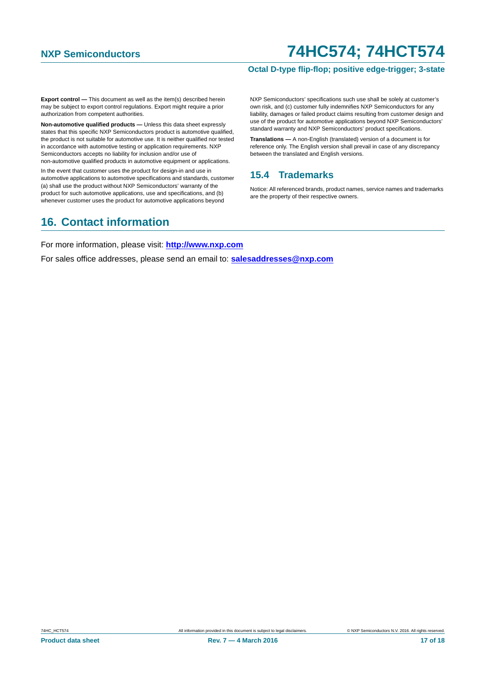#### **Octal D-type flip-flop; positive edge-trigger; 3-state**

**Export control —** This document as well as the item(s) described herein may be subject to export control regulations. Export might require a prior authorization from competent authorities.

**Non-automotive qualified products —** Unless this data sheet expressly states that this specific NXP Semiconductors product is automotive qualified, the product is not suitable for automotive use. It is neither qualified nor tested in accordance with automotive testing or application requirements. NXP Semiconductors accepts no liability for inclusion and/or use of non-automotive qualified products in automotive equipment or applications.

In the event that customer uses the product for design-in and use in automotive applications to automotive specifications and standards, customer (a) shall use the product without NXP Semiconductors' warranty of the product for such automotive applications, use and specifications, and (b) whenever customer uses the product for automotive applications beyond

#### NXP Semiconductors' specifications such use shall be solely at customer's own risk, and (c) customer fully indemnifies NXP Semiconductors for any liability, damages or failed product claims resulting from customer design and use of the product for automotive applications beyond NXP Semiconductors' standard warranty and NXP Semiconductors' product specifications.

**Translations —** A non-English (translated) version of a document is for reference only. The English version shall prevail in case of any discrepancy between the translated and English versions.

### <span id="page-16-0"></span>**15.4 Trademarks**

Notice: All referenced brands, product names, service names and trademarks are the property of their respective owners.

# <span id="page-16-1"></span>**16. Contact information**

For more information, please visit: **http://www.nxp.com**

For sales office addresses, please send an email to: **salesaddresses@nxp.com**